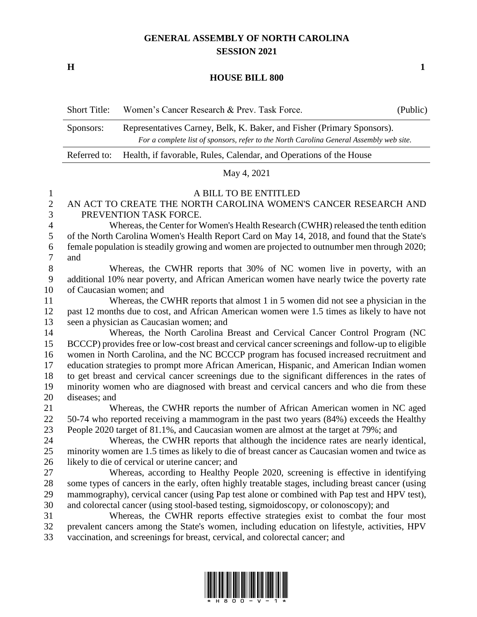## **GENERAL ASSEMBLY OF NORTH CAROLINA SESSION 2021**

**H 1**

## **HOUSE BILL 800**

|                                                                                                                                                                                | <b>Short Title:</b> | Women's Cancer Research & Prev. Task Force.                     | (Public) |
|--------------------------------------------------------------------------------------------------------------------------------------------------------------------------------|---------------------|-----------------------------------------------------------------|----------|
| Representatives Carney, Belk, K. Baker, and Fisher (Primary Sponsors).<br>Sponsors:<br>For a complete list of sponsors, refer to the North Carolina General Assembly web site. |                     |                                                                 |          |
| Health, if favorable, Rules, Calendar, and Operations of the House<br>Referred to:                                                                                             |                     |                                                                 |          |
|                                                                                                                                                                                |                     | May 4, 2021                                                     |          |
|                                                                                                                                                                                |                     | A BILL TO BE ENTITLED                                           |          |
|                                                                                                                                                                                |                     | AN ACT TO CREATE THE NORTH CAROLINA WOMEN'S CANCER RESEARCH AND |          |

PREVENTION TASK FORCE.

 Whereas, the Center for Women's Health Research (CWHR) released the tenth edition of the North Carolina Women's Health Report Card on May 14, 2018, and found that the State's female population is steadily growing and women are projected to outnumber men through 2020; and

 Whereas, the CWHR reports that 30% of NC women live in poverty, with an additional 10% near poverty, and African American women have nearly twice the poverty rate of Caucasian women; and

 Whereas, the CWHR reports that almost 1 in 5 women did not see a physician in the past 12 months due to cost, and African American women were 1.5 times as likely to have not seen a physician as Caucasian women; and

 Whereas, the North Carolina Breast and Cervical Cancer Control Program (NC BCCCP) provides free or low-cost breast and cervical cancer screenings and follow-up to eligible women in North Carolina, and the NC BCCCP program has focused increased recruitment and education strategies to prompt more African American, Hispanic, and American Indian women to get breast and cervical cancer screenings due to the significant differences in the rates of minority women who are diagnosed with breast and cervical cancers and who die from these diseases; and

 Whereas, the CWHR reports the number of African American women in NC aged 50-74 who reported receiving a mammogram in the past two years (84%) exceeds the Healthy People 2020 target of 81.1%, and Caucasian women are almost at the target at 79%; and

 Whereas, the CWHR reports that although the incidence rates are nearly identical, minority women are 1.5 times as likely to die of breast cancer as Caucasian women and twice as likely to die of cervical or uterine cancer; and

 Whereas, according to Healthy People 2020, screening is effective in identifying some types of cancers in the early, often highly treatable stages, including breast cancer (using mammography), cervical cancer (using Pap test alone or combined with Pap test and HPV test), and colorectal cancer (using stool-based testing, sigmoidoscopy, or colonoscopy); and

 Whereas, the CWHR reports effective strategies exist to combat the four most prevalent cancers among the State's women, including education on lifestyle, activities, HPV vaccination, and screenings for breast, cervical, and colorectal cancer; and

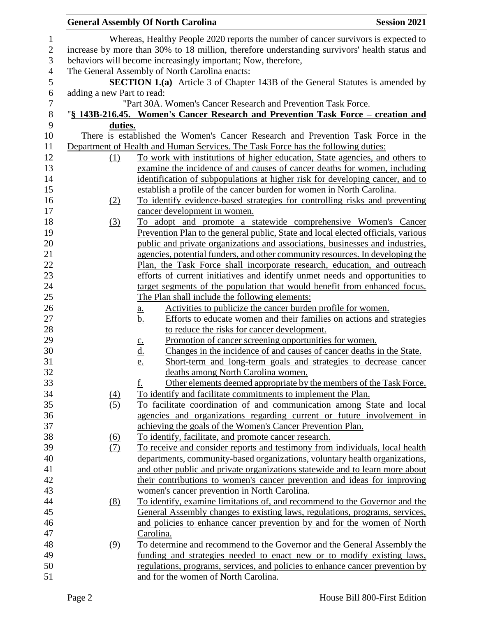|                                                                                               |                  | <b>General Assembly Of North Carolina</b>                                                                        | <b>Session 2021</b> |  |  |
|-----------------------------------------------------------------------------------------------|------------------|------------------------------------------------------------------------------------------------------------------|---------------------|--|--|
|                                                                                               |                  | Whereas, Healthy People 2020 reports the number of cancer survivors is expected to                               |                     |  |  |
| increase by more than 30% to 18 million, therefore understanding survivors' health status and |                  |                                                                                                                  |                     |  |  |
|                                                                                               |                  | behaviors will become increasingly important; Now, therefore,                                                    |                     |  |  |
|                                                                                               |                  | The General Assembly of North Carolina enacts:                                                                   |                     |  |  |
|                                                                                               |                  | <b>SECTION 1.(a)</b> Article 3 of Chapter 143B of the General Statutes is amended by                             |                     |  |  |
| adding a new Part to read:                                                                    |                  |                                                                                                                  |                     |  |  |
|                                                                                               |                  | "Part 30A. Women's Cancer Research and Prevention Task Force.                                                    |                     |  |  |
|                                                                                               |                  | "§ 143B-216.45. Women's Cancer Research and Prevention Task Force – creation and                                 |                     |  |  |
|                                                                                               | duties.          |                                                                                                                  |                     |  |  |
|                                                                                               |                  | There is established the Women's Cancer Research and Prevention Task Force in the                                |                     |  |  |
|                                                                                               |                  | Department of Health and Human Services. The Task Force has the following duties:                                |                     |  |  |
|                                                                                               | (1)              | <u>To work with institutions of higher education, State agencies, and others to</u>                              |                     |  |  |
|                                                                                               |                  | examine the incidence of and causes of cancer deaths for women, including                                        |                     |  |  |
|                                                                                               |                  | identification of subpopulations at higher risk for developing cancer, and to                                    |                     |  |  |
|                                                                                               |                  | establish a profile of the cancer burden for women in North Carolina.                                            |                     |  |  |
|                                                                                               | (2)              | To identify evidence-based strategies for controlling risks and preventing                                       |                     |  |  |
|                                                                                               |                  | cancer development in women.                                                                                     |                     |  |  |
|                                                                                               | (3)              | To adopt and promote a statewide comprehensive Women's Cancer                                                    |                     |  |  |
|                                                                                               |                  | Prevention Plan to the general public, State and local elected officials, various                                |                     |  |  |
|                                                                                               |                  | public and private organizations and associations, businesses and industries,                                    |                     |  |  |
|                                                                                               |                  | agencies, potential funders, and other community resources. In developing the                                    |                     |  |  |
|                                                                                               |                  | Plan, the Task Force shall incorporate research, education, and outreach                                         |                     |  |  |
|                                                                                               |                  | efforts of current initiatives and identify unmet needs and opportunities to                                     |                     |  |  |
|                                                                                               |                  | target segments of the population that would benefit from enhanced focus.                                        |                     |  |  |
|                                                                                               |                  | The Plan shall include the following elements:                                                                   |                     |  |  |
|                                                                                               |                  | Activities to publicize the cancer burden profile for women.                                                     |                     |  |  |
|                                                                                               |                  | <u>a.</u><br>Efforts to educate women and their families on actions and strategies<br>b.                         |                     |  |  |
|                                                                                               |                  | to reduce the risks for cancer development.                                                                      |                     |  |  |
|                                                                                               |                  | <u>Promotion of cancer screening opportunities for women.</u>                                                    |                     |  |  |
|                                                                                               |                  | $\underline{\mathbf{c}}$ .<br><u>d.</u><br>Changes in the incidence of and causes of cancer deaths in the State. |                     |  |  |
|                                                                                               |                  | Short-term and long-term goals and strategies to decrease cancer<br>e.                                           |                     |  |  |
|                                                                                               |                  | deaths among North Carolina women.                                                                               |                     |  |  |
|                                                                                               |                  | Other elements deemed appropriate by the members of the Task Force.<br>f.                                        |                     |  |  |
|                                                                                               | $\left(4\right)$ | To identify and facilitate commitments to implement the Plan.                                                    |                     |  |  |
|                                                                                               | (5)              | To facilitate coordination of and communication among State and local                                            |                     |  |  |
|                                                                                               |                  | agencies and organizations regarding current or future involvement in                                            |                     |  |  |
|                                                                                               |                  | achieving the goals of the Women's Cancer Prevention Plan.                                                       |                     |  |  |
|                                                                                               |                  | To identify, facilitate, and promote cancer research.                                                            |                     |  |  |
|                                                                                               | <u>(6)</u>       | To receive and consider reports and testimony from individuals, local health                                     |                     |  |  |
|                                                                                               | <u>(7)</u>       | departments, community-based organizations, voluntary health organizations,                                      |                     |  |  |
|                                                                                               |                  | and other public and private organizations statewide and to learn more about                                     |                     |  |  |
|                                                                                               |                  | their contributions to women's cancer prevention and ideas for improving                                         |                     |  |  |
|                                                                                               |                  | women's cancer prevention in North Carolina.                                                                     |                     |  |  |
|                                                                                               |                  | To identify, examine limitations of, and recommend to the Governor and the                                       |                     |  |  |
|                                                                                               | (8)              |                                                                                                                  |                     |  |  |
|                                                                                               |                  | General Assembly changes to existing laws, regulations, programs, services,                                      |                     |  |  |
|                                                                                               |                  | and policies to enhance cancer prevention by and for the women of North                                          |                     |  |  |
|                                                                                               |                  | Carolina.                                                                                                        |                     |  |  |
|                                                                                               | (9)              | To determine and recommend to the Governor and the General Assembly the                                          |                     |  |  |
|                                                                                               |                  | funding and strategies needed to enact new or to modify existing laws,                                           |                     |  |  |
|                                                                                               |                  | regulations, programs, services, and policies to enhance cancer prevention by                                    |                     |  |  |
|                                                                                               |                  | and for the women of North Carolina.                                                                             |                     |  |  |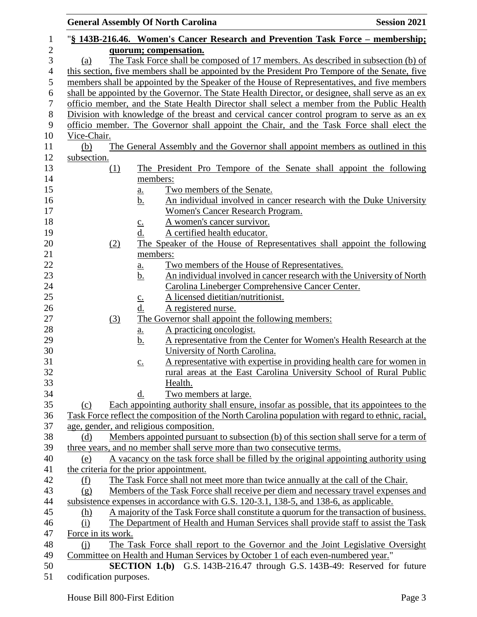|                                     |                        | <b>General Assembly Of North Carolina</b>                                                                                                                                                                    | <b>Session 2021</b> |
|-------------------------------------|------------------------|--------------------------------------------------------------------------------------------------------------------------------------------------------------------------------------------------------------|---------------------|
| 1                                   |                        | "§ 143B-216.46. Women's Cancer Research and Prevention Task Force – membership;                                                                                                                              |                     |
| $\mathbf{2}$<br>3<br>$\overline{4}$ | (a)                    | quorum; compensation.<br>The Task Force shall be composed of 17 members. As described in subsection (b) of<br>this section, five members shall be appointed by the President Pro Tempore of the Senate, five |                     |
| 5<br>6                              |                        | members shall be appointed by the Speaker of the House of Representatives, and five members<br>shall be appointed by the Governor. The State Health Director, or designee, shall serve as an ex              |                     |
| $\boldsymbol{7}$                    |                        | officio member, and the State Health Director shall select a member from the Public Health                                                                                                                   |                     |
| $8\,$                               |                        | Division with knowledge of the breast and cervical cancer control program to serve as an ex                                                                                                                  |                     |
| 9                                   |                        | officio member. The Governor shall appoint the Chair, and the Task Force shall elect the                                                                                                                     |                     |
| 10<br>11                            | Vice-Chair.<br>(b)     | The General Assembly and the Governor shall appoint members as outlined in this                                                                                                                              |                     |
| 12                                  | subsection.            |                                                                                                                                                                                                              |                     |
| 13<br>14                            | <u>(1)</u>             | The President Pro Tempore of the Senate shall appoint the following<br>members:                                                                                                                              |                     |
| 15                                  |                        | Two members of the Senate.<br>a.                                                                                                                                                                             |                     |
| 16                                  |                        | An individual involved in cancer research with the Duke University<br>b.                                                                                                                                     |                     |
| 17                                  |                        | Women's Cancer Research Program.                                                                                                                                                                             |                     |
| 18                                  |                        | A women's cancer survivor.<br>$\underline{c}$ .                                                                                                                                                              |                     |
| 19                                  |                        | A certified health educator.<br>d.                                                                                                                                                                           |                     |
| 20                                  | (2)                    | The Speaker of the House of Representatives shall appoint the following                                                                                                                                      |                     |
| 21                                  |                        | members:                                                                                                                                                                                                     |                     |
| 22                                  |                        | Two members of the House of Representatives.<br><u>a.</u>                                                                                                                                                    |                     |
| 23                                  |                        | An individual involved in cancer research with the University of North<br><u>b.</u>                                                                                                                          |                     |
| 24<br>25                            |                        | Carolina Lineberger Comprehensive Cancer Center.<br>A licensed dietitian/nutritionist.                                                                                                                       |                     |
| 26                                  |                        | $C_{\bullet}$<br>d.<br>A registered nurse.                                                                                                                                                                   |                     |
| 27                                  | (3)                    | The Governor shall appoint the following members:                                                                                                                                                            |                     |
| 28                                  |                        | A practicing oncologist.<br>$\underline{\mathbf{a}}$ .                                                                                                                                                       |                     |
| 29                                  |                        | A representative from the Center for Women's Health Research at the<br><u>b.</u>                                                                                                                             |                     |
| 30                                  |                        | University of North Carolina.                                                                                                                                                                                |                     |
| 31                                  |                        | A representative with expertise in providing health care for women in<br>$\underline{c}$ .                                                                                                                   |                     |
| 32                                  |                        | rural areas at the East Carolina University School of Rural Public                                                                                                                                           |                     |
| 33                                  |                        | Health.                                                                                                                                                                                                      |                     |
| 34                                  |                        | Two members at large.<br>d.                                                                                                                                                                                  |                     |
| 35<br>36                            | (c)                    | Each appointing authority shall ensure, insofar as possible, that its appointees to the<br>Task Force reflect the composition of the North Carolina population with regard to ethnic, racial,                |                     |
| 37                                  |                        | age, gender, and religious composition.                                                                                                                                                                      |                     |
| 38                                  | (d)                    | Members appointed pursuant to subsection (b) of this section shall serve for a term of                                                                                                                       |                     |
| 39                                  |                        | three years, and no member shall serve more than two consecutive terms.                                                                                                                                      |                     |
| 40                                  | (e)                    | A vacancy on the task force shall be filled by the original appointing authority using                                                                                                                       |                     |
| 41                                  |                        | the criteria for the prior appointment.                                                                                                                                                                      |                     |
| 42                                  | (f)                    | The Task Force shall not meet more than twice annually at the call of the Chair.                                                                                                                             |                     |
| 43                                  | (g)                    | Members of the Task Force shall receive per diem and necessary travel expenses and                                                                                                                           |                     |
| 44                                  |                        | subsistence expenses in accordance with G.S. 120-3.1, 138-5, and 138-6, as applicable.                                                                                                                       |                     |
| 45                                  | <u>(h)</u><br>(i)      | A majority of the Task Force shall constitute a quorum for the transaction of business.<br>The Department of Health and Human Services shall provide staff to assist the Task                                |                     |
| 46<br>47                            | Force in its work.     |                                                                                                                                                                                                              |                     |
| 48                                  | (i)                    | The Task Force shall report to the Governor and the Joint Legislative Oversight                                                                                                                              |                     |
| 49                                  |                        | Committee on Health and Human Services by October 1 of each even-numbered year."                                                                                                                             |                     |
| 50                                  |                        | <b>SECTION 1.(b)</b> G.S. 143B-216.47 through G.S. 143B-49: Reserved for future                                                                                                                              |                     |
| 51                                  | codification purposes. |                                                                                                                                                                                                              |                     |